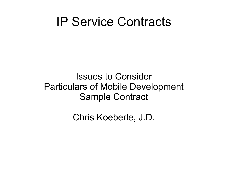#### IP Service Contracts

Issues to Consider Particulars of Mobile Development Sample Contract

Chris Koeberle, J.D.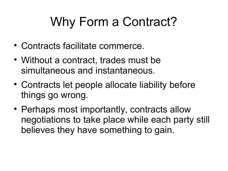### Why Form a Contract?

- Contracts facilitate commerce.
- Without a contract, trades must be simultaneous and instantaneous.
- Contracts let people allocate liability before things go wrong.
- Perhaps most importantly, contracts allow negotiations to take place while each party still believes they have something to gain.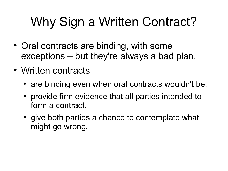## Why Sign a Written Contract?

- Oral contracts are binding, with some exceptions – but they're always a bad plan.
- Written contracts
	- are binding even when oral contracts wouldn't be.
	- provide firm evidence that all parties intended to form a contract.
	- give both parties a chance to contemplate what might go wrong.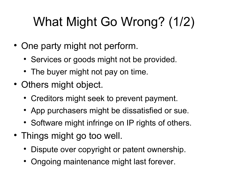# What Might Go Wrong? (1/2)

- One party might not perform.
	- Services or goods might not be provided.
	- The buyer might not pay on time.
- Others might object.
	- Creditors might seek to prevent payment.
	- App purchasers might be dissatisfied or sue.
	- Software might infringe on IP rights of others.
- Things might go too well.
	- Dispute over copyright or patent ownership.
	- Ongoing maintenance might last forever.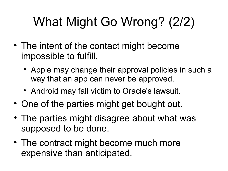## What Might Go Wrong? (2/2)

- The intent of the contact might become impossible to fulfill.
	- Apple may change their approval policies in such a way that an app can never be approved.
	- Android may fall victim to Oracle's lawsuit.
- One of the parties might get bought out.
- The parties might disagree about what was supposed to be done.
- The contract might become much more expensive than anticipated.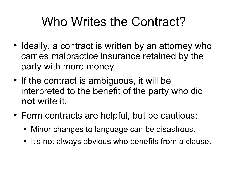#### Who Writes the Contract?

- Ideally, a contract is written by an attorney who carries malpractice insurance retained by the party with more money.
- If the contract is ambiguous, it will be interpreted to the benefit of the party who did **not** write it.
- Form contracts are helpful, but be cautious:
	- Minor changes to language can be disastrous.
	- It's not always obvious who benefits from a clause.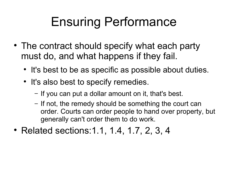#### Ensuring Performance

- The contract should specify what each party must do, and what happens if they fail.
	- It's best to be as specific as possible about duties.
	- It's also best to specify remedies.
		- − If you can put a dollar amount on it, that's best.
		- − If not, the remedy should be something the court can order. Courts can order people to hand over property, but generally can't order them to do work.
- Related sections: 1.1, 1.4, 1.7, 2, 3, 4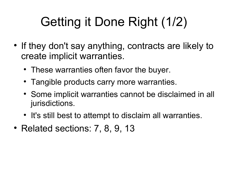## Getting it Done Right (1/2)

- If they don't say anything, contracts are likely to create implicit warranties.
	- These warranties often favor the buyer.
	- Tangible products carry more warranties.
	- Some implicit warranties cannot be disclaimed in all jurisdictions.
	- It's still best to attempt to disclaim all warranties.
- Related sections: 7, 8, 9, 13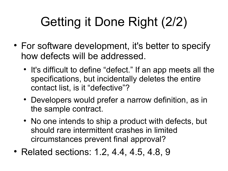## Getting it Done Right (2/2)

- For software development, it's better to specify how defects will be addressed.
	- It's difficult to define "defect." If an app meets all the specifications, but incidentally deletes the entire contact list, is it "defective"?
	- Developers would prefer a narrow definition, as in the sample contract.
	- No one intends to ship a product with defects, but should rare intermittent crashes in limited circumstances prevent final approval?
- Related sections: 1.2, 4.4, 4.5, 4.8, 9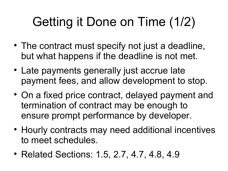## Getting it Done on Time (1/2)

- The contract must specify not just a deadline, but what happens if the deadline is not met.
- Late payments generally just accrue late payment fees, and allow development to stop.
- On a fixed price contract, delayed payment and termination of contract may be enough to ensure prompt performance by developer.
- Hourly contracts may need additional incentives to meet schedules.
- Related Sections: 1.5, 2.7, 4.7, 4.8, 4.9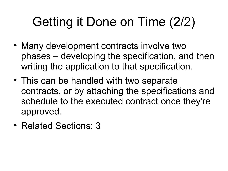### Getting it Done on Time (2/2)

- Many development contracts involve two phases – developing the specification, and then writing the application to that specification.
- This can be handled with two separate contracts, or by attaching the specifications and schedule to the executed contract once they're approved.
- Related Sections: 3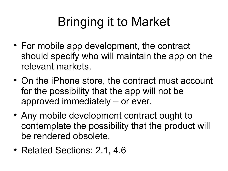### Bringing it to Market

- For mobile app development, the contract should specify who will maintain the app on the relevant markets.
- On the iPhone store, the contract must account for the possibility that the app will not be approved immediately – or ever.
- Any mobile development contract ought to contemplate the possibility that the product will be rendered obsolete.
- Related Sections: 2.1, 4.6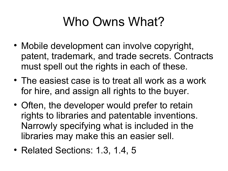#### Who Owns What?

- Mobile development can involve copyright, patent, trademark, and trade secrets. Contracts must spell out the rights in each of these.
- The easiest case is to treat all work as a work for hire, and assign all rights to the buyer.
- Often, the developer would prefer to retain rights to libraries and patentable inventions. Narrowly specifying what is included in the libraries may make this an easier sell.
- Related Sections: 1.3, 1.4, 5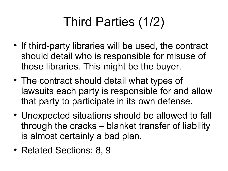## Third Parties (1/2)

- If third-party libraries will be used, the contract should detail who is responsible for misuse of those libraries. This might be the buyer.
- The contract should detail what types of lawsuits each party is responsible for and allow that party to participate in its own defense.
- Unexpected situations should be allowed to fall through the cracks – blanket transfer of liability is almost certainly a bad plan.
- Related Sections: 8, 9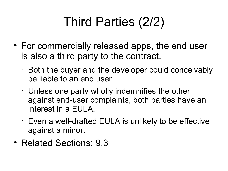## Third Parties (2/2)

- For commercially released apps, the end user is also a third party to the contract.
	- Both the buyer and the developer could conceivably be liable to an end user.
	- Unless one party wholly indemnifies the other against end-user complaints, both parties have an interest in a EULA.
	- Even a well-drafted EULA is unlikely to be effective against a minor.
- Related Sections: 9.3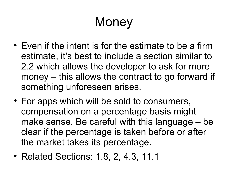### **Money**

- Even if the intent is for the estimate to be a firm estimate, it's best to include a section similar to 2.2 which allows the developer to ask for more money – this allows the contract to go forward if something unforeseen arises.
- For apps which will be sold to consumers, compensation on a percentage basis might make sense. Be careful with this language – be clear if the percentage is taken before or after the market takes its percentage.
- Related Sections: 1.8, 2, 4.3, 11.1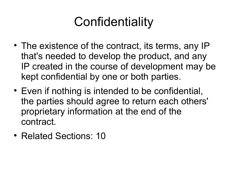#### **Confidentiality**

- The existence of the contract, its terms, any IP that's needed to develop the product, and any IP created in the course of development may be kept confidential by one or both parties.
- Even if nothing is intended to be confidential, the parties should agree to return each others' proprietary information at the end of the contract.
- Related Sections: 10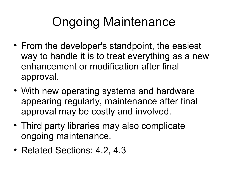#### Ongoing Maintenance

- From the developer's standpoint, the easiest way to handle it is to treat everything as a new enhancement or modification after final approval.
- With new operating systems and hardware appearing regularly, maintenance after final approval may be costly and involved.
- Third party libraries may also complicate ongoing maintenance.
- Related Sections: 4.2, 4.3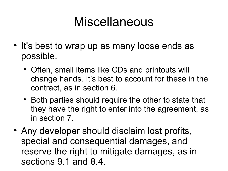#### Miscellaneous

- It's best to wrap up as many loose ends as possible.
	- Often, small items like CDs and printouts will change hands. It's best to account for these in the contract, as in section 6.
	- Both parties should require the other to state that they have the right to enter into the agreement, as in section 7.
- Any developer should disclaim lost profits, special and consequential damages, and reserve the right to mitigate damages, as in sections 9.1 and 8.4.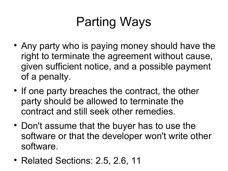### Parting Ways

- Any party who is paying money should have the right to terminate the agreement without cause, given sufficient notice, and a possible payment of a penalty.
- If one party breaches the contract, the other party should be allowed to terminate the contract and still seek other remedies.
- Don't assume that the buyer has to use the software or that the developer won't write other software.
- Related Sections: 2.5, 2.6, 11